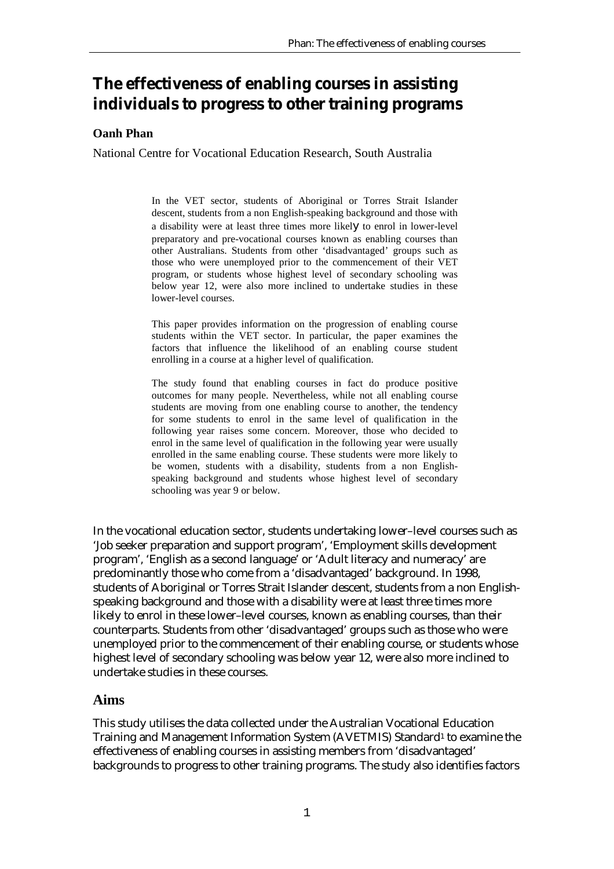# **The effectiveness of enabling courses in assisting individuals to progress to other training programs**

### **Oanh Phan**

National Centre for Vocational Education Research, South Australia

In the VET sector, students of Aboriginal or Torres Strait Islander descent, students from a non English-speaking background and those with a disability were at least three times more likely to enrol in lower-level preparatory and pre-vocational courses known as enabling courses than other Australians. Students from other 'disadvantaged' groups such as those who were unemployed prior to the commencement of their VET program, or students whose highest level of secondary schooling was below year 12, were also more inclined to undertake studies in these lower-level courses.

This paper provides information on the progression of enabling course students within the VET sector. In particular, the paper examines the factors that influence the likelihood of an enabling course student enrolling in a course at a higher level of qualification.

The study found that enabling courses in fact do produce positive outcomes for many people. Nevertheless, while not all enabling course students are moving from one enabling course to another, the tendency for some students to enrol in the same level of qualification in the following year raises some concern. Moreover, those who decided to enrol in the same level of qualification in the following year were usually enrolled in the same enabling course. These students were more likely to be women, students with a disability, students from a non Englishspeaking background and students whose highest level of secondary schooling was year 9 or below.

In the vocational education sector, students undertaking lower–level courses such as 'Job seeker preparation and support program', 'Employment skills development program', 'English as a second language' or 'Adult literacy and numeracy' are predominantly those who come from a 'disadvantaged' background. In 1998, students of Aboriginal or Torres Strait Islander descent, students from a non Englishspeaking background and those with a disability were at least three times more likely to enrol in these lower–level courses, known as enabling courses, than their counterparts. Students from other 'disadvantaged' groups such as those who were unemployed prior to the commencement of their enabling course, or students whose highest level of secondary schooling was below year 12, were also more inclined to undertake studies in these courses.

### **Aims**

This study utilises the data collected under the Australian Vocational Education Training and Management Information System (AVETMIS) Standard<sup>1</sup> to examine the effectiveness of enabling courses in assisting members from 'disadvantaged' backgrounds to progress to other training programs. The study also identifies factors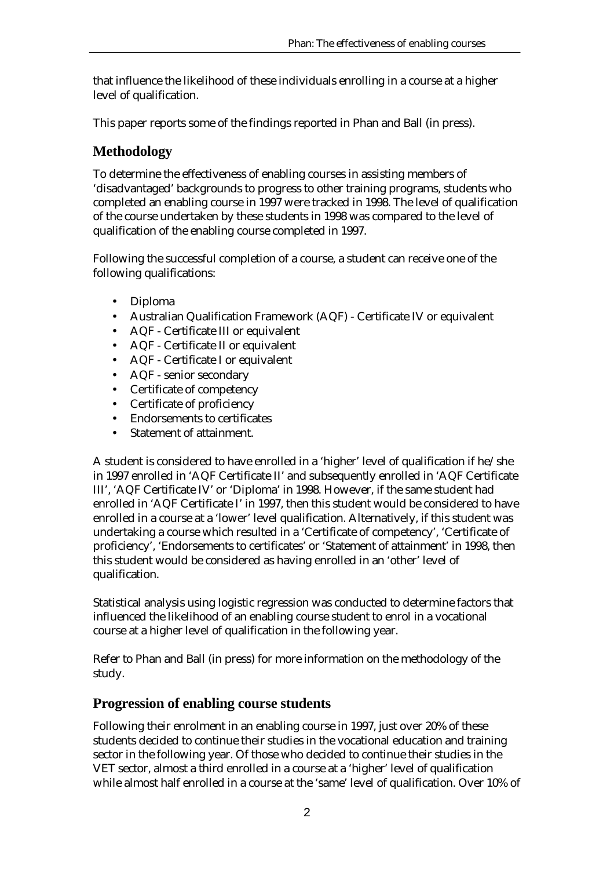that influence the likelihood of these individuals enrolling in a course at a higher level of qualification.

This paper reports some of the findings reported in Phan and Ball (in press).

# **Methodology**

To determine the effectiveness of enabling courses in assisting members of 'disadvantaged' backgrounds to progress to other training programs, students who completed an enabling course in 1997 were tracked in 1998. The level of qualification of the course undertaken by these students in 1998 was compared to the level of qualification of the enabling course completed in 1997.

Following the successful completion of a course, a student can receive one of the following qualifications:

- Diploma
- Australian Qualification Framework (AQF) Certificate IV or equivalent
- AQF Certificate III or equivalent
- AQF Certificate II or equivalent
- AQF Certificate I or equivalent
- AQF senior secondary
- Certificate of competency
- Certificate of proficiency
- Endorsements to certificates
- Statement of attainment.

A student is considered to have enrolled in a 'higher' level of qualification if he/she in 1997 enrolled in 'AQF Certificate II' and subsequently enrolled in 'AQF Certificate III', 'AQF Certificate IV' or 'Diploma' in 1998. However, if the same student had enrolled in 'AQF Certificate I' in 1997, then this student would be considered to have enrolled in a course at a 'lower' level qualification. Alternatively, if this student was undertaking a course which resulted in a 'Certificate of competency', 'Certificate of proficiency', 'Endorsements to certificates' or 'Statement of attainment' in 1998, then this student would be considered as having enrolled in an 'other' level of qualification.

Statistical analysis using logistic regression was conducted to determine factors that influenced the likelihood of an enabling course student to enrol in a vocational course at a higher level of qualification in the following year.

Refer to Phan and Ball (in press) for more information on the methodology of the study.

# **Progression of enabling course students**

Following their enrolment in an enabling course in 1997, just over 20% of these students decided to continue their studies in the vocational education and training sector in the following year. Of those who decided to continue their studies in the VET sector, almost a third enrolled in a course at a 'higher' level of qualification while almost half enrolled in a course at the 'same' level of qualification. Over 10% of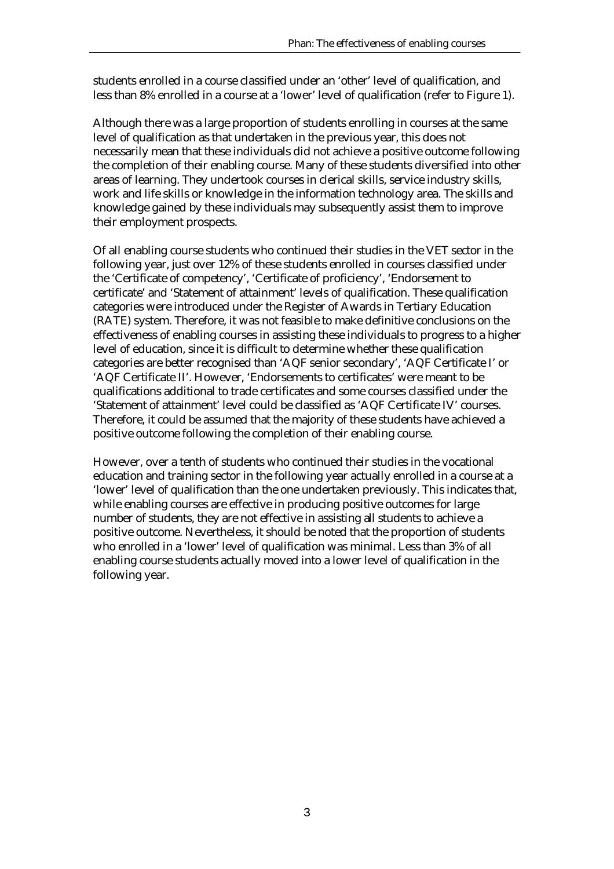students enrolled in a course classified under an 'other' level of qualification, and less than 8% enrolled in a course at a 'lower' level of qualification (refer to Figure 1).

Although there was a large proportion of students enrolling in courses at the same level of qualification as that undertaken in the previous year, this does not necessarily mean that these individuals did not achieve a positive outcome following the completion of their enabling course. Many of these students diversified into other areas of learning. They undertook courses in clerical skills, service industry skills, work and life skills or knowledge in the information technology area. The skills and knowledge gained by these individuals may subsequently assist them to improve their employment prospects.

Of all enabling course students who continued their studies in the VET sector in the following year, just over 12% of these students enrolled in courses classified under the 'Certificate of competency', 'Certificate of proficiency', 'Endorsement to certificate' and 'Statement of attainment' levels of qualification. These qualification categories were introduced under the Register of Awards in Tertiary Education (RATE) system. Therefore, it was not feasible to make definitive conclusions on the effectiveness of enabling courses in assisting these individuals to progress to a higher level of education, since it is difficult to determine whether these qualification categories are better recognised than 'AQF senior secondary', 'AQF Certificate I' or 'AQF Certificate II'. However, 'Endorsements to certificates' were meant to be qualifications additional to trade certificates and some courses classified under the 'Statement of attainment' level could be classified as 'AQF Certificate IV' courses. Therefore, it could be assumed that the majority of these students have achieved a positive outcome following the completion of their enabling course.

However, over a tenth of students who continued their studies in the vocational education and training sector in the following year actually enrolled in a course at a 'lower' level of qualification than the one undertaken previously. This indicates that, while enabling courses are effective in producing positive outcomes for large number of students, they are not effective in assisting *all* students to achieve a positive outcome. Nevertheless, it should be noted that the proportion of students who enrolled in a 'lower' level of qualification was minimal. Less than 3% of all enabling course students actually moved into a lower level of qualification in the following year.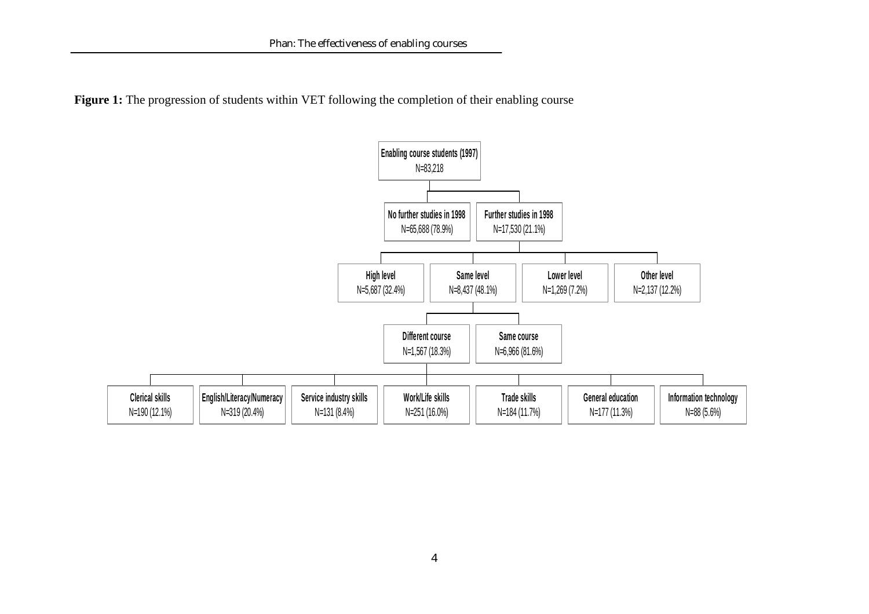**Figure 1:** The progression of students within VET following the completion of their enabling course

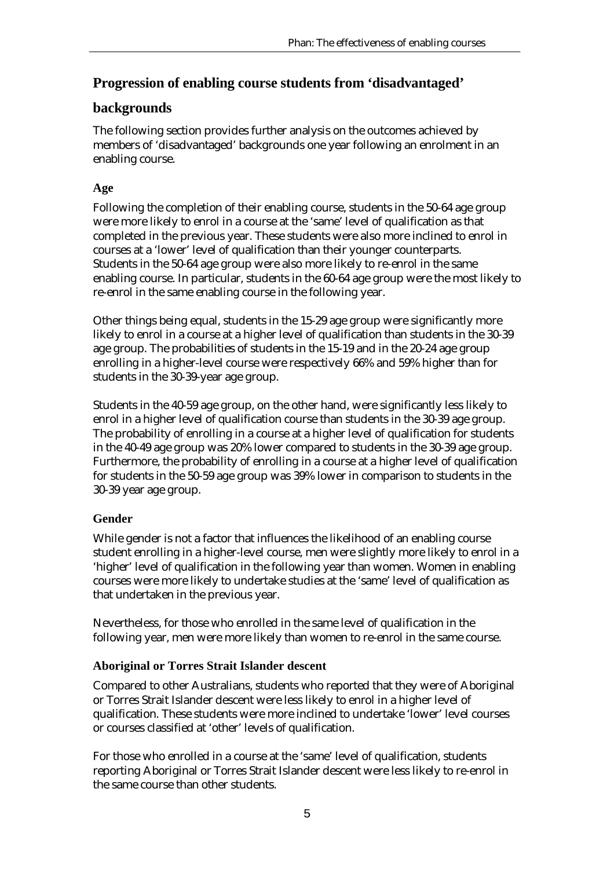# **Progression of enabling course students from 'disadvantaged'**

# **backgrounds**

The following section provides further analysis on the outcomes achieved by members of 'disadvantaged' backgrounds one year following an enrolment in an enabling course.

### **Age**

Following the completion of their enabling course, students in the 50-64 age group were more likely to enrol in a course at the 'same' level of qualification as that completed in the previous year. These students were also more inclined to enrol in courses at a 'lower' level of qualification than their younger counterparts. Students in the 50-64 age group were also more likely to re-enrol in the same enabling course. In particular, students in the 60-64 age group were the most likely to re-enrol in the same enabling course in the following year.

Other things being equal, students in the 15-29 age group were significantly more likely to enrol in a course at a higher level of qualification than students in the 30-39 age group. The probabilities of students in the 15-19 and in the 20-24 age group enrolling in a higher-level course were respectively 66% and 59% higher than for students in the 30-39-year age group.

Students in the 40-59 age group, on the other hand, were significantly less likely to enrol in a higher level of qualification course than students in the 30-39 age group. The probability of enrolling in a course at a higher level of qualification for students in the 40-49 age group was 20% lower compared to students in the 30-39 age group. Furthermore, the probability of enrolling in a course at a higher level of qualification for students in the 50-59 age group was 39% lower in comparison to students in the 30-39 year age group.

### **Gender**

While gender is not a factor that influences the likelihood of an enabling course student enrolling in a higher-level course, men were slightly more likely to enrol in a 'higher' level of qualification in the following year than women. Women in enabling courses were more likely to undertake studies at the 'same' level of qualification as that undertaken in the previous year.

Nevertheless, for those who enrolled in the same level of qualification in the following year, men were more likely than women to re-enrol in the same course.

### **Aboriginal or Torres Strait Islander descent**

Compared to other Australians, students who reported that they were of Aboriginal or Torres Strait Islander descent were less likely to enrol in a higher level of qualification. These students were more inclined to undertake 'lower' level courses or courses classified at 'other' levels of qualification.

For those who enrolled in a course at the 'same' level of qualification, students reporting Aboriginal or Torres Strait Islander descent were less likely to re-enrol in the same course than other students.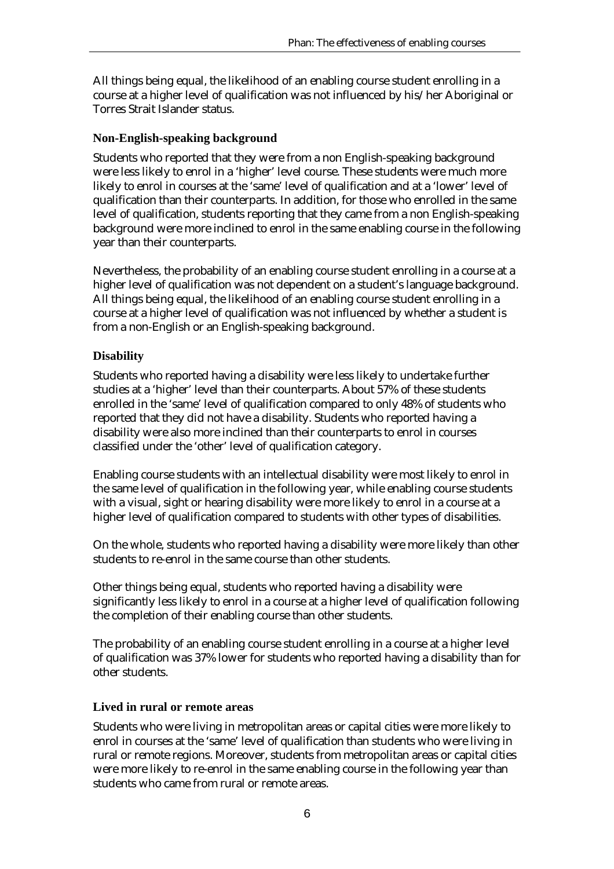All things being equal, the likelihood of an enabling course student enrolling in a course at a higher level of qualification was not influenced by his/her Aboriginal or Torres Strait Islander status.

#### **Non-English-speaking background**

Students who reported that they were from a non English-speaking background were less likely to enrol in a 'higher' level course. These students were much more likely to enrol in courses at the 'same' level of qualification and at a 'lower' level of qualification than their counterparts. In addition, for those who enrolled in the same level of qualification, students reporting that they came from a non English-speaking background were more inclined to enrol in the same enabling course in the following year than their counterparts.

Nevertheless, the probability of an enabling course student enrolling in a course at a higher level of qualification was not dependent on a student's language background. All things being equal, the likelihood of an enabling course student enrolling in a course at a higher level of qualification was not influenced by whether a student is from a non-English or an English-speaking background.

#### **Disability**

Students who reported having a disability were less likely to undertake further studies at a 'higher' level than their counterparts. About 57% of these students enrolled in the 'same' level of qualification compared to only 48% of students who reported that they did not have a disability. Students who reported having a disability were also more inclined than their counterparts to enrol in courses classified under the 'other' level of qualification category.

Enabling course students with an intellectual disability were most likely to enrol in the same level of qualification in the following year, while enabling course students with a visual, sight or hearing disability were more likely to enrol in a course at a higher level of qualification compared to students with other types of disabilities.

On the whole, students who reported having a disability were more likely than other students to re-enrol in the same course than other students.

Other things being equal, students who reported having a disability were significantly less likely to enrol in a course at a higher level of qualification following the completion of their enabling course than other students.

The probability of an enabling course student enrolling in a course at a higher level of qualification was 37% lower for students who reported having a disability than for other students.

#### **Lived in rural or remote areas**

Students who were living in metropolitan areas or capital cities were more likely to enrol in courses at the 'same' level of qualification than students who were living in rural or remote regions. Moreover, students from metropolitan areas or capital cities were more likely to re-enrol in the same enabling course in the following year than students who came from rural or remote areas.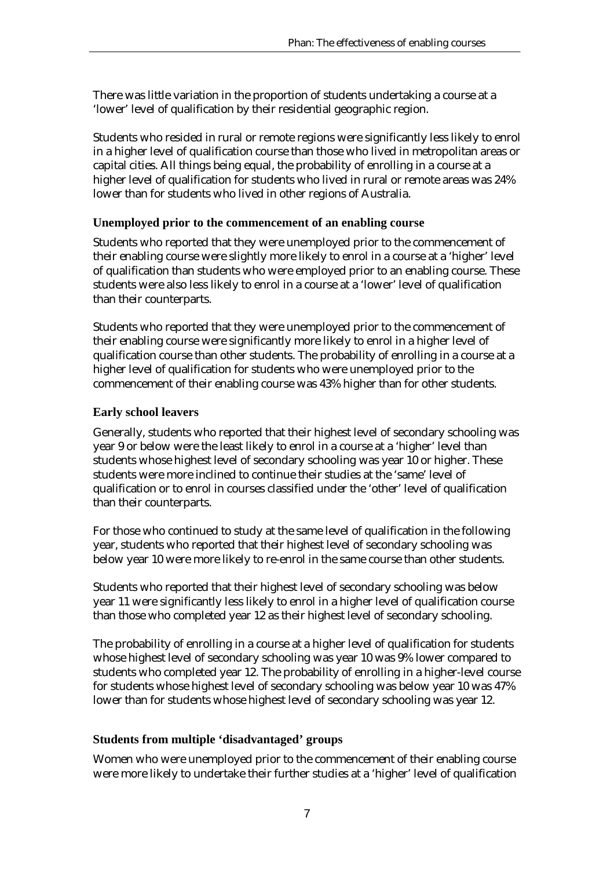There was little variation in the proportion of students undertaking a course at a 'lower' level of qualification by their residential geographic region.

Students who resided in rural or remote regions were significantly less likely to enrol in a higher level of qualification course than those who lived in metropolitan areas or capital cities. All things being equal, the probability of enrolling in a course at a higher level of qualification for students who lived in rural or remote areas was 24% lower than for students who lived in other regions of Australia.

#### **Unemployed prior to the commencement of an enabling course**

Students who reported that they were unemployed prior to the commencement of their enabling course were slightly more likely to enrol in a course at a 'higher' level of qualification than students who were employed prior to an enabling course. These students were also less likely to enrol in a course at a 'lower' level of qualification than their counterparts.

Students who reported that they were unemployed prior to the commencement of their enabling course were significantly more likely to enrol in a higher level of qualification course than other students. The probability of enrolling in a course at a higher level of qualification for students who were unemployed prior to the commencement of their enabling course was 43% higher than for other students.

#### **Early school leavers**

Generally, students who reported that their highest level of secondary schooling was year 9 or below were the least likely to enrol in a course at a 'higher' level than students whose highest level of secondary schooling was year 10 or higher. These students were more inclined to continue their studies at the 'same' level of qualification or to enrol in courses classified under the 'other' level of qualification than their counterparts.

For those who continued to study at the same level of qualification in the following year, students who reported that their highest level of secondary schooling was below year 10 were more likely to re-enrol in the same course than other students.

Students who reported that their highest level of secondary schooling was below year 11 were significantly less likely to enrol in a higher level of qualification course than those who completed year 12 as their highest level of secondary schooling.

The probability of enrolling in a course at a higher level of qualification for students whose highest level of secondary schooling was year 10 was 9% lower compared to students who completed year 12. The probability of enrolling in a higher-level course for students whose highest level of secondary schooling was below year 10 was 47% lower than for students whose highest level of secondary schooling was year 12.

#### **Students from multiple 'disadvantaged' groups**

Women who were unemployed prior to the commencement of their enabling course were more likely to undertake their further studies at a 'higher' level of qualification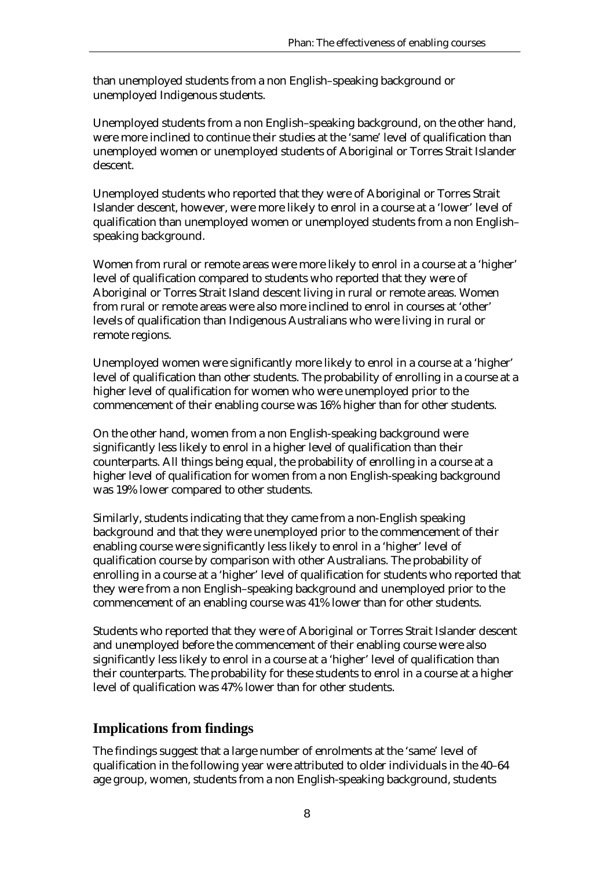than unemployed students from a non English–speaking background or unemployed Indigenous students.

Unemployed students from a non English–speaking background, on the other hand, were more inclined to continue their studies at the 'same' level of qualification than unemployed women or unemployed students of Aboriginal or Torres Strait Islander descent.

Unemployed students who reported that they were of Aboriginal or Torres Strait Islander descent, however, were more likely to enrol in a course at a 'lower' level of qualification than unemployed women or unemployed students from a non English– speaking background.

Women from rural or remote areas were more likely to enrol in a course at a 'higher' level of qualification compared to students who reported that they were of Aboriginal or Torres Strait Island descent living in rural or remote areas. Women from rural or remote areas were also more inclined to enrol in courses at 'other' levels of qualification than Indigenous Australians who were living in rural or remote regions.

Unemployed women were significantly more likely to enrol in a course at a 'higher' level of qualification than other students. The probability of enrolling in a course at a higher level of qualification for women who were unemployed prior to the commencement of their enabling course was 16% higher than for other students.

On the other hand, women from a non English-speaking background were significantly less likely to enrol in a higher level of qualification than their counterparts. All things being equal, the probability of enrolling in a course at a higher level of qualification for women from a non English-speaking background was 19% lower compared to other students.

Similarly, students indicating that they came from a non-English speaking background and that they were unemployed prior to the commencement of their enabling course were significantly less likely to enrol in a 'higher' level of qualification course by comparison with other Australians. The probability of enrolling in a course at a 'higher' level of qualification for students who reported that they were from a non English–speaking background and unemployed prior to the commencement of an enabling course was 41% lower than for other students.

Students who reported that they were of Aboriginal or Torres Strait Islander descent and unemployed before the commencement of their enabling course were also significantly less likely to enrol in a course at a 'higher' level of qualification than their counterparts. The probability for these students to enrol in a course at a higher level of qualification was 47% lower than for other students.

# **Implications from findings**

The findings suggest that a large number of enrolments at the 'same' level of qualification in the following year were attributed to older individuals in the 40–64 age group, women, students from a non English-speaking background, students